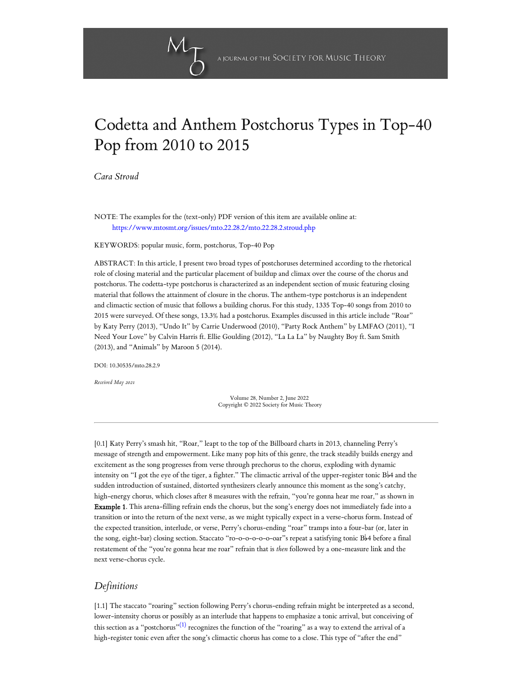

# Codetta and Anthem Postchorus Types in Top-40 Pop from 2010 to 2015

*[Cara Stroud](#page-9-0)*

NOTE: The examples for the (text-only) PDF version of this item are available online at: <https://www.mtosmt.org/issues/mto.22.28.2/mto.22.28.2.stroud.php>

KEYWORDS: popular music, form, postchorus, Top-40 Pop

ABSTRACT: In this article, I present two broad types of postchoruses determined according to the rhetorical role of closing material and the particular placement of buildup and climax over the course of the chorus and postchorus. The codetta-type postchorus is characterized as an independent section of music featuring closing material that follows the attainment of closure in the chorus. The anthem-type postchorus is an independent and climactic section of music that follows a building chorus. For this study, 1335 Top-40 songs from 2010 to 2015 were surveyed. Of these songs, 13.3% had a postchorus. Examples discussed in this article include "Roar" by Katy Perry (2013), "Undo It" by Carrie Underwood (2010), "Party Rock Anthem" by LMFAO (2011), "I Need Your Love" by Calvin Harris ft. Ellie Goulding (2012), "La La La" by Naughty Boy ft. Sam Smith (2013), and "Animals" by Maroon 5 (2014).

DOI: 10.30535/mto.28.2.9

*Received May 2021*

Volume 28, Number 2, June 2022 Copyright © 2022 Society for Music Theory

[0.1] Katy Perry's smash hit, "Roar," leapt to the top of the Billboard charts in 2013, channeling Perry's message of strength and empowerment. Like many pop hits of this genre, the track steadily builds energy and excitement as the song progresses from verse through prechorus to the chorus, exploding with dynamic intensity on "I got the eye of the tiger, a fighter." The climactic arrival of the upper-register tonic  $B\nmid 4$  and the sudden introduction of sustained, distorted synthesizers clearly announce this moment as the song's catchy, high-energy chorus, which closes after 8 measures with the refrain, "you're gonna hear me roar," as shown in Example 1. This arena-filling refrain ends the chorus, but the song's energy does not immediately fade into a transition or into the return of the next verse, as we might typically expect in a verse-chorus form. Instead of the expected transition, interlude, or verse, Perry's chorus-ending "roar" tramps into a four-bar (or, later in the song, eight-bar) closing section. Staccato "ro-o-o-o-o-o-oar"s repeat a satisfying tonic Bb4 before a final restatement of the "you're gonna hear me roar" refrain that is *then* followed by a one-measure link and the next verse-chorus cycle.

# *Definitions*

<span id="page-0-0"></span>[1.1] The staccato "roaring" section following Perry's chorus-ending refrain might be interpreted as a second, lower-intensity chorus or possibly as an interlude that happens to emphasize a tonic arrival, but conceiving of this section as a "postchorus" $^{(1)}$  $^{(1)}$  $^{(1)}$  recognizes the function of the "roaring" as a way to extend the arrival of a high-register tonic even after the song's climactic chorus has come to a close. This type of "after the end"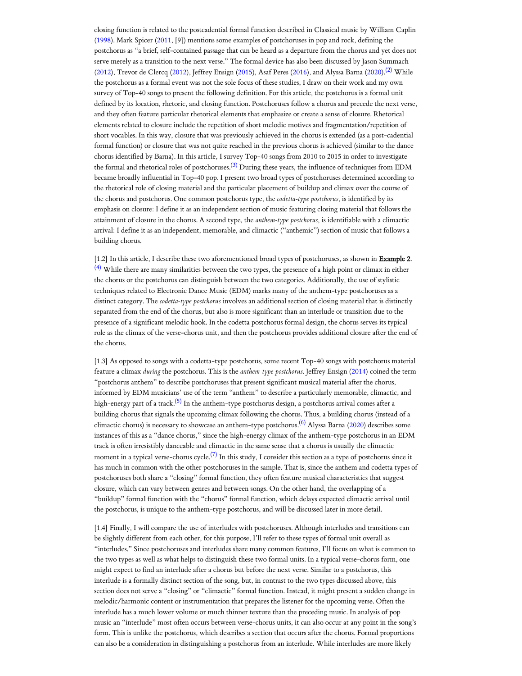<span id="page-1-0"></span>closing function is related to the postcadential formal function described in Classical music by William Caplin [\(1998](#page-10-0)). Mark Spicer [\(2011](#page-11-1), [9]) mentions some examples of postchoruses in pop and rock, defining the postchorus as "a brief, self-contained passage that can be heard as a departure from the chorus and yet does not serve merely as a transition to the next verse." The formal device has also been discussed by Jason Summach [\(2012\)](#page-11-2), Trevor de Clercq [\(2012](#page-10-1)), Jeffrey Ensign ([2015\)](#page-10-2), Asaf Peres ([2016\)](#page-10-3), and Alyssa Barna [\(2020](#page-9-1)).<sup>[\(2\)](#page-11-3)</sup> While the postchorus as a formal event was not the sole focus of these studies, I draw on their work and my own survey of Top-40 songs to present the following definition. For this article, the postchorus is a formal unit defined by its location, rhetoric, and closing function. Postchoruses follow a chorus and precede the next verse, and they often feature particular rhetorical elements that emphasize or create a sense of closure. Rhetorical elements related to closure include the repetition of short melodic motives and fragmentation/repetition of short vocables. In this way, closure that was previously achieved in the chorus is extended (as a post-cadential formal function) or closure that was not quite reached in the previous chorus is achieved (similar to the dance chorus identified by Barna). In this article, I survey Top-40 songs from 2010 to 2015 in order to investigate the formal and rhetorical roles of postchoruses.<sup>[\(3\)](#page-11-4)</sup> During these years, the influence of techniques from EDM became broadly influential in Top-40 pop. I present two broad types of postchoruses determined according to the rhetorical role of closing material and the particular placement of buildup and climax over the course of the chorus and postchorus. One common postchorus type, the *codetta-type postchorus*, is identified by its emphasis on closure: I define it as an independent section of music featuring closing material that follows the attainment of closure in the chorus. A second type, the *anthem-type postchorus*, is identifiable with a climactic arrival: I define it as an independent, memorable, and climactic ("anthemic") section of music that follows a building chorus.

<span id="page-1-2"></span><span id="page-1-1"></span>[1.2] In this article, I describe these two aforementioned broad types of postchoruses, as shown in Example 2. <sup>[\(4\)](#page-11-5)</sup> While there are many similarities between the two types, the presence of a high point or climax in either the chorus or the postchorus can distinguish between the two categories. Additionally, the use of stylistic techniques related to Electronic Dance Music (EDM) marks many of the anthem-type postchoruses as a distinct category. The *codetta-type postchorus* involves an additional section of closing material that is distinctly separated from the end of the chorus, but also is more significant than an interlude or transition due to the presence of a significant melodic hook. In the codetta postchorus formal design, the chorus serves its typical role as the climax of the verse-chorus unit, and then the postchorus provides additional closure after the end of the chorus.

<span id="page-1-4"></span><span id="page-1-3"></span>[1.3] As opposed to songs with a codetta-type postchorus, some recent Top-40 songs with postchorus material feature a climax *during* the postchorus. This is the *anthem-type postchorus*. Jeffrey Ensign ([2014\)](#page-10-4) coined the term "postchorus anthem" to describe postchoruses that present significant musical material after the chorus, informed by EDM musicians' use of the term "anthem" to describe a particularly memorable, climactic, and high-energy part of a track.<sup>[\(5\)](#page-11-6)</sup> In the anthem-type postchorus design, a postchorus arrival comes after a building chorus that signals the upcoming climax following the chorus. Thus, a building chorus (instead of a climactic chorus) is necessary to showcase an anthem-type postchorus.<sup>[\(6\)](#page-11-7)</sup> Alyssa Barna ([2020](#page-9-1)) describes some instances of this as a "dance chorus," since the high-energy climax of the anthem-type postchorus in an EDM track is often irresistibly danceable and climactic in the same sense that a chorus is usually the climactic moment in a typical verse-chorus cycle. $^{(7)}$  $^{(7)}$  $^{(7)}$  In this study, I consider this section as a type of postchorus since it has much in common with the other postchoruses in the sample. That is, since the anthem and codetta types of postchoruses both share a "closing" formal function, they often feature musical characteristics that suggest closure, which can vary between genres and between songs. On the other hand, the overlapping of a "buildup" formal function with the "chorus" formal function, which delays expected climactic arrival until the postchorus, is unique to the anthem-type postchorus, and will be discussed later in more detail.

<span id="page-1-5"></span>[1.4] Finally, I will compare the use of interludes with postchoruses. Although interludes and transitions can be slightly different from each other, for this purpose, I'll refer to these types of formal unit overall as "interludes." Since postchoruses and interludes share many common features, I'll focus on what is common to the two types as well as what helps to distinguish these two formal units. In a typical verse-chorus form, one might expect to find an interlude after a chorus but before the next verse. Similar to a postchorus, this interlude is a formally distinct section of the song, but, in contrast to the two types discussed above, this section does not serve a "closing" or "climactic" formal function. Instead, it might present a sudden change in melodic/harmonic content or instrumentation that prepares the listener for the upcoming verse. Often the interlude has a much lower volume or much thinner texture than the preceding music. In analysis of pop music an "interlude" most often occurs between verse-chorus units, it can also occur at any point in the song's form. This is unlike the postchorus, which describes a section that occurs after the chorus. Formal proportions can also be a consideration in distinguishing a postchorus from an interlude. While interludes are more likely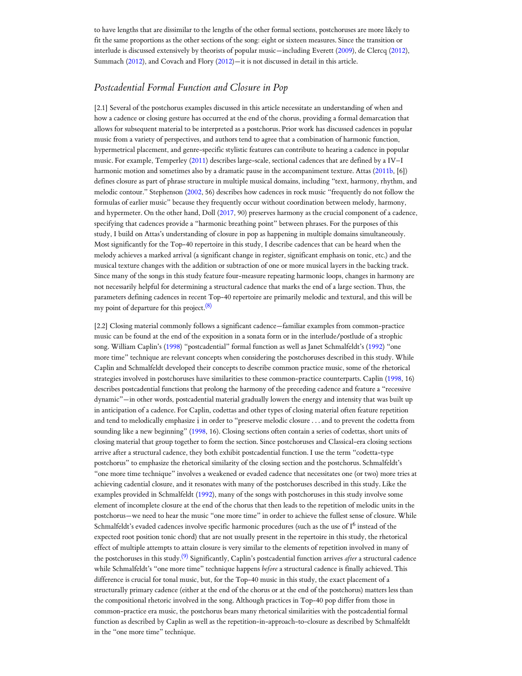to have lengths that are dissimilar to the lengths of the other formal sections, postchoruses are more likely to fit the same proportions as the other sections of the song: eight or sixteen measures. Since the transition or interlude is discussed extensively by theorists of popular music—including Everett ([2009\)](#page-10-5), de Clercq ([2012](#page-10-1)), Summach ([2012](#page-11-2)), and Covach and Flory ([2012\)](#page-10-6)—it is not discussed in detail in this article.

# *Postcadential Formal Function and Closure in Pop*

[2.1] Several of the postchorus examples discussed in this article necessitate an understanding of when and how a cadence or closing gesture has occurred at the end of the chorus, providing a formal demarcation that allows for subsequent material to be interpreted as a postchorus. Prior work has discussed cadences in popular music from a variety of perspectives, and authors tend to agree that a combination of harmonic function, hypermetrical placement, and genre-specific stylistic features can contribute to hearing a cadence in popular music. For example, Temperley ([2011\)](#page-11-9) describes large-scale, sectional cadences that are defined by a IV–I harmonic motion and sometimes also by a dramatic pause in the accompaniment texture. Attas ([2011b,](#page-9-2) [6]) defines closure as part of phrase structure in multiple musical domains, including "text, harmony, rhythm, and melodic contour." Stephenson ([2002,](#page-11-10) 56) describes how cadences in rock music "frequently do not follow the formulas of earlier music" because they frequently occur without coordination between melody, harmony, and hypermeter. On the other hand, Doll ([2017,](#page-10-7) 90) preserves harmony as the crucial component of a cadence, specifying that cadences provide a "harmonic breathing point" between phrases. For the purposes of this study, I build on Attas's understanding of closure in pop as happening in multiple domains simultaneously. Most significantly for the Top-40 repertoire in this study, I describe cadences that can be heard when the melody achieves a marked arrival (a significant change in register, significant emphasis on tonic, etc.) and the musical texture changes with the addition or subtraction of one or more musical layers in the backing track. Since many of the songs in this study feature four-measure repeating harmonic loops, changes in harmony are not necessarily helpful for determining a structural cadence that marks the end of a large section. Thus, the parameters defining cadences in recent Top-40 repertoire are primarily melodic and textural, and this will be my point of departure for this project. [\(8\)](#page-12-0)

<span id="page-2-1"></span><span id="page-2-0"></span>[2.2] Closing material commonly follows a significant cadence—familiar examples from common-practice music can be found at the end of the exposition in a sonata form or in the interlude/postlude of a strophic song. William Caplin's ([1998\)](#page-10-0) "postcadential" formal function as well as Janet Schmalfeldt's [\(1992\)](#page-10-8) "one more time" technique are relevant concepts when considering the postchoruses described in this study. While Caplin and Schmalfeldt developed their concepts to describe common practice music, some of the rhetorical strategies involved in postchoruses have similarities to these common-practice counterparts. Caplin ([1998](#page-10-0), 16) describes postcadential functions that prolong the harmony of the preceding cadence and feature a "recessive dynamic"—in other words, postcadential material gradually lowers the energy and intensity that was built up in anticipation of a cadence. For Caplin, codettas and other types of closing material often feature repetition and tend to melodically emphasize  $\hat{\textbf{i}}$  in order to "preserve melodic closure  $\dots$  and to prevent the codetta from sounding like a new beginning" ([1998,](#page-10-0) 16). Closing sections often contain a series of codettas, short units of closing material that group together to form the section. Since postchoruses and Classical-era closing sections arrive after a structural cadence, they both exhibit postcadential function. I use the term "codetta-type postchorus" to emphasize the rhetorical similarity of the closing section and the postchorus. Schmalfeldt's "one more time technique" involves a weakened or evaded cadence that necessitates one (or two) more tries at achieving cadential closure, and it resonates with many of the postchoruses described in this study. Like the examples provided in Schmalfeldt ([1992](#page-10-8)), many of the songs with postchoruses in this study involve some element of incomplete closure at the end of the chorus that then leads to the repetition of melodic units in the postchorus—we need to hear the music "one more time" in order to achieve the fullest sense of closure. While Schmalfeldt's evaded cadences involve specific harmonic procedures (such as the use of  $\mathrm{I}^6$  instead of the expected root position tonic chord) that are not usually present in the repertoire in this study, the rhetorical effect of multiple attempts to attain closure is very similar to the elements of repetition involved in many of the postchoruses in this study. [\(9\)](#page-12-1) Significantly, Caplin's postcadential function arrives *after* a structural cadence while Schmalfeldt's "one more time" technique happens *before* a structural cadence is finally achieved. This difference is crucial for tonal music, but, for the Top-40 music in this study, the exact placement of a structurally primary cadence (either at the end of the chorus or at the end of the postchorus) matters less than the compositional rhetoric involved in the song. Although practices in Top-40 pop differ from those in common-practice era music, the postchorus bears many rhetorical similarities with the postcadential formal function as described by Caplin as well as the repetition-in-approach-to-closure as described by Schmalfeldt in the "one more time" technique.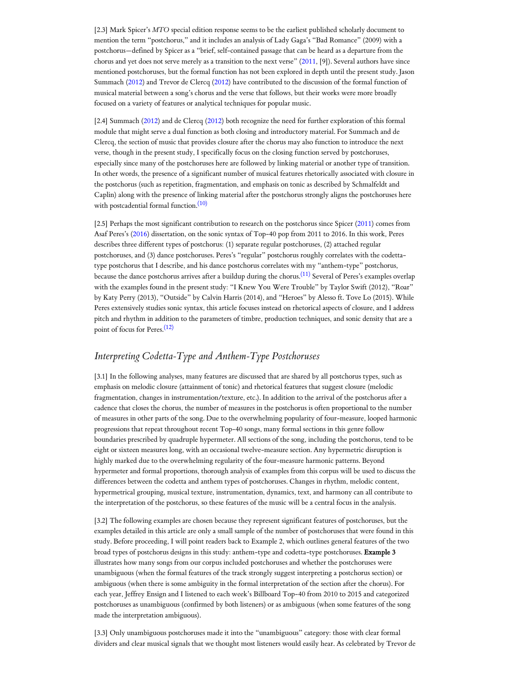[2.3] Mark Spicer's *MTO* special edition response seems to be the earliest published scholarly document to mention the term "postchorus," and it includes an analysis of Lady Gaga's "Bad Romance" (2009) with a postchorus—defined by Spicer as a "brief, self-contained passage that can be heard as a departure from the chorus and yet does not serve merely as a transition to the next verse" [\(2011](#page-11-1), [9]). Several authors have since mentioned postchoruses, but the formal function has not been explored in depth until the present study. Jason Summach ([2012](#page-11-2)) and Trevor de Clercq ([2012\)](#page-10-1) have contributed to the discussion of the formal function of musical material between a song's chorus and the verse that follows, but their works were more broadly focused on a variety of features or analytical techniques for popular music.

[2.4] Summach ([2012\)](#page-11-2) and de Clercq ([2012\)](#page-10-1) both recognize the need for further exploration of this formal module that might serve a dual function as both closing and introductory material. For Summach and de Clercq, the section of music that provides closure after the chorus may also function to introduce the next verse, though in the present study, I specifically focus on the closing function served by postchoruses, especially since many of the postchoruses here are followed by linking material or another type of transition. In other words, the presence of a significant number of musical features rhetorically associated with closure in the postchorus (such as repetition, fragmentation, and emphasis on tonic as described by Schmalfeldt and Caplin) along with the presence of linking material after the postchorus strongly aligns the postchoruses here with postcadential formal function. [\(10\)](#page-12-2)

<span id="page-3-1"></span><span id="page-3-0"></span>[2.5] Perhaps the most significant contribution to research on the postchorus since Spicer ([2011\)](#page-11-1) comes from Asaf Peres's [\(2016\)](#page-10-3) dissertation, on the sonic syntax of Top-40 pop from 2011 to 2016. In this work, Peres describes three different types of postchorus: (1) separate regular postchoruses, (2) attached regular postchoruses, and (3) dance postchoruses. Peres's "regular" postchorus roughly correlates with the codettatype postchorus that I describe, and his dance postchorus correlates with my "anthem-type" postchorus, because the dance postchorus arrives after a buildup during the chorus.<sup>[\(11\)](#page-12-3)</sup> Several of Peres's examples overlap with the examples found in the present study: "I Knew You Were Trouble" by Taylor Swift (2012), "Roar" by Katy Perry (2013), "Outside" by Calvin Harris (2014), and "Heroes" by Alesso ft. Tove Lo (2015). While Peres extensively studies sonic syntax, this article focuses instead on rhetorical aspects of closure, and I address pitch and rhythm in addition to the parameters of timbre, production techniques, and sonic density that are a point of focus for Peres. [\(12\)](#page-12-4)

# <span id="page-3-2"></span>*Interpreting Codetta-Type and Anthem-Type Postchoruses*

[3.1] In the following analyses, many features are discussed that are shared by all postchorus types, such as emphasis on melodic closure (attainment of tonic) and rhetorical features that suggest closure (melodic fragmentation, changes in instrumentation/texture, etc.). In addition to the arrival of the postchorus after a cadence that closes the chorus, the number of measures in the postchorus is often proportional to the number of measures in other parts of the song. Due to the overwhelming popularity of four-measure, looped harmonic progressions that repeat throughout recent Top-40 songs, many formal sections in this genre follow boundaries prescribed by quadruple hypermeter. All sections of the song, including the postchorus, tend to be eight or sixteen measures long, with an occasional twelve-measure section. Any hypermetric disruption is highly marked due to the overwhelming regularity of the four-measure harmonic patterns. Beyond hypermeter and formal proportions, thorough analysis of examples from this corpus will be used to discuss the differences between the codetta and anthem types of postchoruses. Changes in rhythm, melodic content, hypermetrical grouping, musical texture, instrumentation, dynamics, text, and harmony can all contribute to the interpretation of the postchorus, so these features of the music will be a central focus in the analysis.

[3.2] The following examples are chosen because they represent significant features of postchoruses, but the examples detailed in this article are only a small sample of the number of postchoruses that were found in this study. Before proceeding, I will point readers back to Example 2, which outlines general features of the two broad types of postchorus designs in this study: anthem-type and codetta-type postchoruses. Example 3 illustrates how many songs from our corpus included postchoruses and whether the postchoruses were unambiguous (when the formal features of the track strongly suggest interpreting a postchorus section) or ambiguous (when there is some ambiguity in the formal interpretation of the section after the chorus). For each year, Jeffrey Ensign and I listened to each week's Billboard Top-40 from 2010 to 2015 and categorized postchoruses as unambiguous (confirmed by both listeners) or as ambiguous (when some features of the song made the interpretation ambiguous).

[3.3] Only unambiguous postchoruses made it into the "unambiguous" category: those with clear formal dividers and clear musical signals that we thought most listeners would easily hear. As celebrated by Trevor de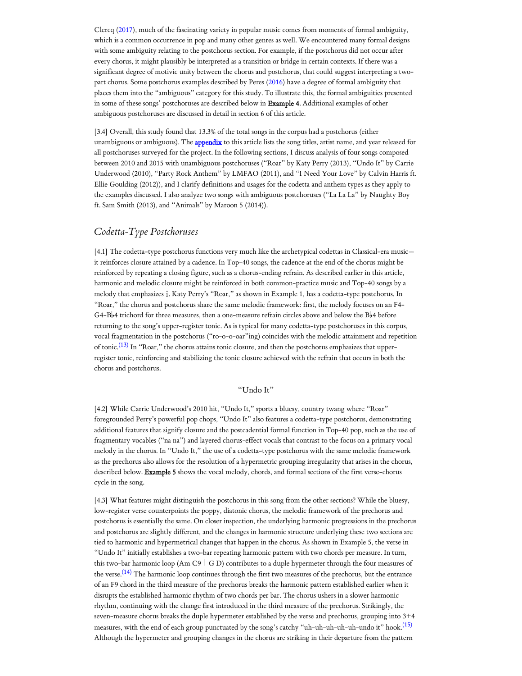Clercq [\(2017](#page-10-9)), much of the fascinating variety in popular music comes from moments of formal ambiguity, which is a common occurrence in pop and many other genres as well. We encountered many formal designs with some ambiguity relating to the postchorus section. For example, if the postchorus did not occur after every chorus, it might plausibly be interpreted as a transition or bridge in certain contexts. If there was a significant degree of motivic unity between the chorus and postchorus, that could suggest interpreting a twopart chorus. Some postchorus examples described by Peres [\(2016](#page-10-3)) have a degree of formal ambiguity that places them into the "ambiguous" category for this study. To illustrate this, the formal ambiguities presented in some of these songs' postchoruses are described below in Example 4. Additional examples of other ambiguous postchoruses are discussed in detail in section 6 of this article.

[3.4] Overall, this study found that 13.3% of the total songs in the corpus had a postchorus (either unambiguous or ambiguous). The *[appendix](https://www.mtosmt.org/issues/mto.22.28.2/stroud_appendix.pdf)* to this article lists the song titles, artist name, and year released for all postchoruses surveyed for the project. In the following sections, I discuss analysis of four songs composed between 2010 and 2015 with unambiguous postchoruses ("Roar" by Katy Perry (2013), "Undo It" by Carrie Underwood (2010), "Party Rock Anthem" by LMFAO (2011), and "I Need Your Love" by Calvin Harris ft. Ellie Goulding (2012)), and I clarify definitions and usages for the codetta and anthem types as they apply to the examples discussed. I also analyze two songs with ambiguous postchoruses ("La La La" by Naughty Boy ft. Sam Smith (2013), and "Animals" by Maroon 5 (2014)).

# *Codetta-Type Postchoruses*

[4.1] The codetta-type postchorus functions very much like the archetypical codettas in Classical-era music it reinforces closure attained by a cadence. In Top-40 songs, the cadence at the end of the chorus might be reinforced by repeating a closing figure, such as a chorus-ending refrain. As described earlier in this article, harmonic and melodic closure might be reinforced in both common-practice music and Top-40 songs by a melody that emphasizes î. Katy Perry's "Roar," as shown in Example 1, has a codetta-type postchorus. In "Roar," the chorus and postchorus share the same melodic framework: first, the melody focuses on an F4-  $G$ 4-B<sub>b4</sub> trichord for three measures, then a one-measure refrain circles above and below the B<sub>b4</sub> before returning to the song's upper-register tonic. As is typical for many codetta-type postchoruses in this corpus, vocal fragmentation in the postchorus ("ro-o-o-oar"ing) coincides with the melodic attainment and repetition of tonic. $^{(13)}$  $^{(13)}$  $^{(13)}$  In "Roar," the chorus attains tonic closure, and then the postchorus emphasizes that upperregister tonic, reinforcing and stabilizing the tonic closure achieved with the refrain that occurs in both the chorus and postchorus.

## <span id="page-4-2"></span>"Undo It"

<span id="page-4-0"></span>[4.2] While Carrie Underwood's 2010 hit, "Undo It," sports a bluesy, country twang where "Roar" foregrounded Perry's powerful pop chops, "Undo It" also features a codetta-type postchorus, demonstrating additional features that signify closure and the postcadential formal function in Top-40 pop, such as the use of fragmentary vocables ("na na") and layered chorus-effect vocals that contrast to the focus on a primary vocal melody in the chorus. In "Undo It," the use of a codetta-type postchorus with the same melodic framework as the prechorus also allows for the resolution of a hypermetric grouping irregularity that arises in the chorus, described below. Example 5 shows the vocal melody, chords, and formal sections of the first verse-chorus cycle in the song.

<span id="page-4-1"></span>[4.3] What features might distinguish the postchorus in this song from the other sections? While the bluesy, low-register verse counterpoints the poppy, diatonic chorus, the melodic framework of the prechorus and postchorus is essentially the same. On closer inspection, the underlying harmonic progressions in the prechorus and postchorus are slightly different, and the changes in harmonic structure underlying these two sections are tied to harmonic and hypermetrical changes that happen in the chorus. As shown in Example 5, the verse in "Undo It" initially establishes a two-bar repeating harmonic pattern with two chords per measure. In turn, this two-bar harmonic loop (Am C9 | G D) contributes to a duple hypermeter through the four measures of the verse. $^{(14)}$  $^{(14)}$  $^{(14)}$  The harmonic loop continues through the first two measures of the prechorus, but the entrance of an F9 chord in the third measure of the prechorus breaks the harmonic pattern established earlier when it disrupts the established harmonic rhythm of two chords per bar. The chorus ushers in a slower harmonic rhythm, continuing with the change first introduced in the third measure of the prechorus. Strikingly, the seven-measure chorus breaks the duple hypermeter established by the verse and prechorus, grouping into 3+4 measures, with the end of each group punctuated by the song's catchy "uh-uh-uh-uh-uh-undo it" hook.<sup>[\(15\)](#page-12-7)</sup> Although the hypermeter and grouping changes in the chorus are striking in their departure from the pattern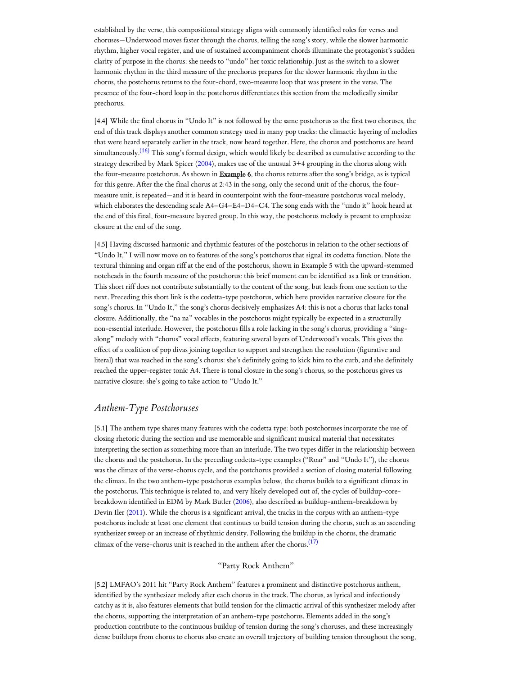established by the verse, this compositional strategy aligns with commonly identified roles for verses and choruses—Underwood moves faster through the chorus, telling the song's story, while the slower harmonic rhythm, higher vocal register, and use of sustained accompaniment chords illuminate the protagonist's sudden clarity of purpose in the chorus: she needs to "undo" her toxic relationship. Just as the switch to a slower harmonic rhythm in the third measure of the prechorus prepares for the slower harmonic rhythm in the chorus, the postchorus returns to the four-chord, two-measure loop that was present in the verse. The presence of the four-chord loop in the postchorus differentiates this section from the melodically similar prechorus.

<span id="page-5-0"></span>[4.4] While the final chorus in "Undo It" is not followed by the same postchorus as the first two choruses, the end of this track displays another common strategy used in many pop tracks: the climactic layering of melodies that were heard separately earlier in the track, now heard together. Here, the chorus and postchorus are heard simultaneously.<sup>[\(16\)](#page-12-8)</sup> This song's formal design, which would likely be described as cumulative according to the strategy described by Mark Spicer [\(2004\)](#page-11-11), makes use of the unusual 3+4 grouping in the chorus along with the four-measure postchorus. As shown in Example 6, the chorus returns after the song's bridge, as is typical for this genre. After the the final chorus at 2:43 in the song, only the second unit of the chorus, the fourmeasure unit, is repeated—and it is heard in counterpoint with the four-measure postchorus vocal melody, which elaborates the descending scale A4–G4–E4–D4–C4. The song ends with the "undo it" hook heard at the end of this final, four-measure layered group. In this way, the postchorus melody is present to emphasize closure at the end of the song.

[4.5] Having discussed harmonic and rhythmic features of the postchorus in relation to the other sections of "Undo It," I will now move on to features of the song's postchorus that signal its codetta function. Note the textural thinning and organ riff at the end of the postchorus, shown in Example 5 with the upward-stemmed noteheads in the fourth measure of the postchorus: this brief moment can be identified as a link or transition. This short riff does not contribute substantially to the content of the song, but leads from one section to the next. Preceding this short link is the codetta-type postchorus, which here provides narrative closure for the song's chorus. In "Undo It," the song's chorus decisively emphasizes A4: this is not a chorus that lacks tonal closure. Additionally, the "na na" vocables in the postchorus might typically be expected in a structurally non-essential interlude. However, the postchorus fills a role lacking in the song's chorus, providing a "singalong" melody with "chorus" vocal effects, featuring several layers of Underwood's vocals. This gives the effect of a coalition of pop divas joining together to support and strengthen the resolution (figurative and literal) that was reached in the song's chorus: she's definitely going to kick him to the curb, and she definitely reached the upper-register tonic A4. There is tonal closure in the song's chorus, so the postchorus gives us narrative closure: she's going to take action to "Undo It."

# *Anthem-Type Postchoruses*

[5.1] The anthem type shares many features with the codetta type: both postchoruses incorporate the use of closing rhetoric during the section and use memorable and significant musical material that necessitates interpreting the section as something more than an interlude. The two types differ in the relationship between the chorus and the postchorus. In the preceding codetta-type examples ("Roar" and "Undo It"), the chorus was the climax of the verse-chorus cycle, and the postchorus provided a section of closing material following the climax. In the two anthem-type postchorus examples below, the chorus builds to a significant climax in the postchorus. This technique is related to, and very likely developed out of, the cycles of buildup-corebreakdown identified in EDM by Mark Butler [\(2006](#page-10-10)), also described as buildup-anthem-breakdown by Devin Iler [\(2011](#page-10-11)). While the chorus is a significant arrival, the tracks in the corpus with an anthem-type postchorus include at least one element that continues to build tension during the chorus, such as an ascending synthesizer sweep or an increase of rhythmic density. Following the buildup in the chorus, the dramatic climax of the verse-chorus unit is reached in the anthem after the chorus.  $^{(17)}$  $^{(17)}$  $^{(17)}$ 

## <span id="page-5-1"></span>"Party Rock Anthem"

[5.2] LMFAO's 2011 hit "Party Rock Anthem" features a prominent and distinctive postchorus anthem, identified by the synthesizer melody after each chorus in the track. The chorus, as lyrical and infectiously catchy as it is, also features elements that build tension for the climactic arrival of this synthesizer melody after the chorus, supporting the interpretation of an anthem-type postchorus. Elements added in the song's production contribute to the continuous buildup of tension during the song's choruses, and these increasingly dense buildups from chorus to chorus also create an overall trajectory of building tension throughout the song,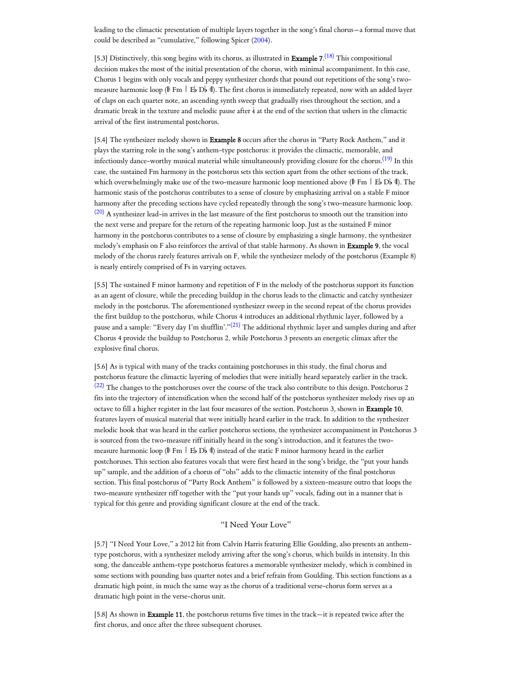leading to the climactic presentation of multiple layers together in the song's final chorus—a formal move that could be described as "cumulative," following Spicer [\(2004\)](#page-11-11).

<span id="page-6-0"></span>[5.3] Distinctively, this song begins with its chorus, as illustrated in **Example 7.**<sup>[\(18\)](#page-13-1)</sup> This compositional decision makes the most of the initial presentation of the chorus, with minimal accompaniment. In this case, Chorus 1 begins with only vocals and peppy synthesizer chords that pound out repetitions of the song's twomeasure harmonic loop ( $\mathbb F$  Fm  $\mathbb F$  E D $\mathbb F$ ). The first chorus is immediately repeated, now with an added layer of claps on each quarter note, an ascending synth sweep that gradually rises throughout the section, and a dramatic break in the texture and melodic pause after  $\hat{4}$  at the end of the section that ushers in the climactic arrival of the first instrumental postchorus.

<span id="page-6-2"></span><span id="page-6-1"></span>[5.4] The synthesizer melody shown in Example 8 occurs after the chorus in "Party Rock Anthem," and it plays the starring role in the song's anthem-type postchorus: it provides the climactic, memorable, and infectiously dance-worthy musical material while simultaneously providing closure for the chorus. $^{(19)}$  $^{(19)}$  $^{(19)}$  In this case, the sustained Fm harmony in the postchorus sets this section apart from the other sections of the track, which overwhelmingly make use of the two-measure harmonic loop mentioned above ( $\mathbb{F}$  Fm  $\Box$  E<sub>p</sub> D<sub>p</sub> : 1). The harmonic stasis of the postchorus contributes to a sense of closure by emphasizing arrival on a stable F minor harmony after the preceding sections have cycled repeatedly through the song's two-measure harmonic loop.  $(20)$  A synthesizer lead-in arrives in the last measure of the first postchorus to smooth out the transition into the next verse and prepare for the return of the repeating harmonic loop. Just as the sustained F minor harmony in the postchorus contributes to a sense of closure by emphasizing a single harmony, the synthesizer melody's emphasis on F also reinforces the arrival of that stable harmony. As shown in Example 9, the vocal melody of the chorus rarely features arrivals on F, while the synthesizer melody of the postchorus (Example 8) is nearly entirely comprised of Fs in varying octaves.

<span id="page-6-3"></span>[5.5] The sustained F minor harmony and repetition of F in the melody of the postchorus support its function as an agent of closure, while the preceding buildup in the chorus leads to the climactic and catchy synthesizer melody in the postchorus. The aforementioned synthesizer sweep in the second repeat of the chorus provides the first buildup to the postchorus, while Chorus 4 introduces an additional rhythmic layer, followed by a pause and a sample: "Every day I'm shufflin'."<sup>[\(21\)](#page-13-4)</sup> The additional rhythmic layer and samples during and after Chorus 4 provide the buildup to Postchorus 2, while Postchorus 3 presents an energetic climax after the explosive final chorus.

<span id="page-6-4"></span>[5.6] As is typical with many of the tracks containing postchoruses in this study, the final chorus and postchorus feature the climactic layering of melodies that were initially heard separately earlier in the track. [\(22\)](#page-13-5) The changes to the postchoruses over the course of the track also contribute to this design. Postchorus 2 fits into the trajectory of intensification when the second half of the postchorus synthesizer melody rises up an octave to fill a higher register in the last four measures of the section. Postchorus 3, shown in Example 10, features layers of musical material that were initially heard earlier in the track. In addition to the synthesizer melodic hook that was heard in the earlier postchorus sections, the synthesizer accompaniment in Postchorus 3 is sourced from the two-measure riff initially heard in the song's introduction, and it features the twomeasure harmonic loop ( $\|Fm \|\to b$ ) instead of the static F minor harmony heard in the earlier postchoruses. This section also features vocals that were first heard in the song's bridge, the "put your hands up" sample, and the addition of a chorus of "ohs" adds to the climactic intensity of the final postchorus section. This final postchorus of "Party Rock Anthem" is followed by a sixteen-measure outro that loops the two-measure synthesizer riff together with the "put your hands up" vocals, fading out in a manner that is typical for this genre and providing significant closure at the end of the track.

## "I Need Your Love"

[5.7] "I Need Your Love," a 2012 hit from Calvin Harris featuring Ellie Goulding, also presents an anthemtype postchorus, with a synthesizer melody arriving after the song's chorus, which builds in intensity. In this song, the danceable anthem-type postchorus features a memorable synthesizer melody, which is combined in some sections with pounding bass quarter notes and a brief refrain from Goulding. This section functions as a dramatic high point, in much the same way as the chorus of a traditional verse-chorus form serves as a dramatic high point in the verse-chorus unit.

[5.8] As shown in Example 11, the postchorus returns five times in the track—it is repeated twice after the first chorus, and once after the three subsequent choruses.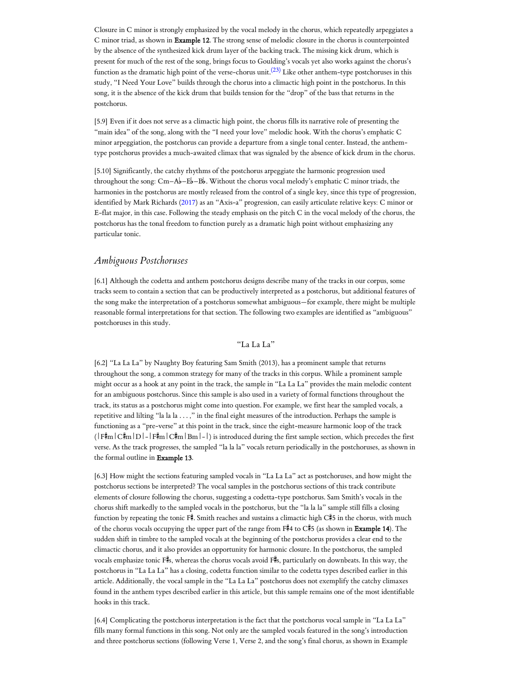<span id="page-7-0"></span>Closure in C minor is strongly emphasized by the vocal melody in the chorus, which repeatedly arpeggiates a C minor triad, as shown in Example 12. The strong sense of melodic closure in the chorus is counterpointed by the absence of the synthesized kick drum layer of the backing track. The missing kick drum, which is present for much of the rest of the song, brings focus to Goulding's vocals yet also works against the chorus's function as the dramatic high point of the verse-chorus unit. $^{(23)}$  $^{(23)}$  $^{(23)}$  Like other anthem-type postchoruses in this study, "I Need Your Love" builds through the chorus into a climactic high point in the postchorus. In this song, it is the absence of the kick drum that builds tension for the "drop" of the bass that returns in the postchorus.

[5.9] Even if it does not serve as a climactic high point, the chorus fills its narrative role of presenting the "main idea" of the song, along with the "I need your love" melodic hook. With the chorus's emphatic C minor arpeggiation, the postchorus can provide a departure from a single tonal center. Instead, the anthemtype postchorus provides a much-awaited climax that was signaled by the absence of kick drum in the chorus.

[5.10] Significantly, the catchy rhythms of the postchorus arpeggiate the harmonic progression used throughout the song:  $Cm-Ab-Bb$ . Without the chorus vocal melody's emphatic C minor triads, the harmonies in the postchorus are mostly released from the control of a single key, since this type of progression, identified by Mark Richards ([2017\)](#page-10-12) as an "Axis-a" progression, can easily articulate relative keys: C minor or E-flat major, in this case. Following the steady emphasis on the pitch C in the vocal melody of the chorus, the postchorus has the tonal freedom to function purely as a dramatic high point without emphasizing any particular tonic.

## *Ambiguous Postchoruses*

[6.1] Although the codetta and anthem postchorus designs describe many of the tracks in our corpus, some tracks seem to contain a section that can be productively interpreted as a postchorus, but additional features of the song make the interpretation of a postchorus somewhat ambiguous—for example, there might be multiple reasonable formal interpretations for that section. The following two examples are identified as "ambiguous" postchoruses in this study.

#### "La La La"

[6.2] "La La La" by Naughty Boy featuring Sam Smith (2013), has a prominent sample that returns throughout the song, a common strategy for many of the tracks in this corpus. While a prominent sample might occur as a hook at any point in the track, the sample in "La La La" provides the main melodic content for an ambiguous postchorus. Since this sample is also used in a variety of formal functions throughout the track, its status as a postchorus might come into question. For example, we first hear the sampled vocals, a repetitive and lilting "la la la . . . ," in the final eight measures of the introduction. Perhaps the sample is functioning as a "pre-verse" at this point in the track, since the eight-measure harmonic loop of the track  $(\mathsf{F}^{\sharp}m|\mathbf{C}^{\sharp}m|\mathbf{D}|-|\mathbf{F}^{\sharp}m|\mathbf{C}^{\sharp}m|\mathbf{B}m|-)$  is introduced during the first sample section, which precedes the first verse. As the track progresses, the sampled "la la la" vocals return periodically in the postchoruses, as shown in the formal outline in Example 13.

[6.3] How might the sections featuring sampled vocals in "La La La" act as postchoruses, and how might the postchorus sections be interpreted? The vocal samples in the postchorus sections of this track contribute elements of closure following the chorus, suggesting a codetta-type postchorus. Sam Smith's vocals in the chorus shift markedly to the sampled vocals in the postchorus, but the "la la la" sample still fills a closing function by repeating the tonic F#. Smith reaches and sustains a climactic high  $C#5$  in the chorus, with much of the chorus vocals occupying the upper part of the range from F#4 to C#5 (as shown in Example 14). The sudden shift in timbre to the sampled vocals at the beginning of the postchorus provides a clear end to the climactic chorus, and it also provides an opportunity for harmonic closure. In the postchorus, the sampled vocals emphasize tonic F#s, whereas the chorus vocals avoid F#s, particularly on downbeats. In this way, the postchorus in "La La La" has a closing, codetta function similar to the codetta types described earlier in this article. Additionally, the vocal sample in the "La La La" postchorus does not exemplify the catchy climaxes found in the anthem types described earlier in this article, but this sample remains one of the most identifiable hooks in this track.

[6.4] Complicating the postchorus interpretation is the fact that the postchorus vocal sample in "La La La" fills many formal functions in this song. Not only are the sampled vocals featured in the song's introduction and three postchorus sections (following Verse 1, Verse 2, and the song's final chorus, as shown in Example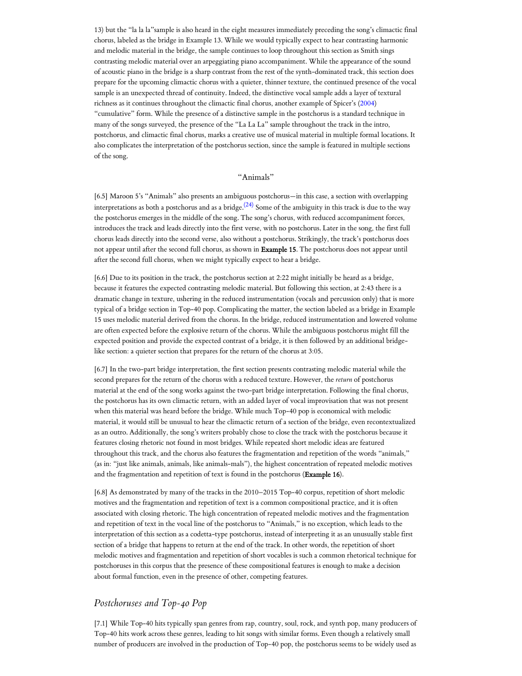13) but the "la la la"sample is also heard in the eight measures immediately preceding the song's climactic final chorus, labeled as the bridge in Example 13. While we would typically expect to hear contrasting harmonic and melodic material in the bridge, the sample continues to loop throughout this section as Smith sings contrasting melodic material over an arpeggiating piano accompaniment. While the appearance of the sound of acoustic piano in the bridge is a sharp contrast from the rest of the synth-dominated track, this section does prepare for the upcoming climactic chorus with a quieter, thinner texture, the continued presence of the vocal sample is an unexpected thread of continuity. Indeed, the distinctive vocal sample adds a layer of textural richness as it continues throughout the climactic final chorus, another example of Spicer's ([2004\)](#page-11-11) "cumulative" form. While the presence of a distinctive sample in the postchorus is a standard technique in many of the songs surveyed, the presence of the "La La La" sample throughout the track in the intro, postchorus, and climactic final chorus, marks a creative use of musical material in multiple formal locations. It also complicates the interpretation of the postchorus section, since the sample is featured in multiple sections of the song.

#### <span id="page-8-0"></span>"Animals"

[6.5] Maroon 5's "Animals" also presents an ambiguous postchorus—in this case, a section with overlapping interpretations as both a postchorus and as a bridge. $^{(24)}$  $^{(24)}$  $^{(24)}$  Some of the ambiguity in this track is due to the way the postchorus emerges in the middle of the song. The song's chorus, with reduced accompaniment forces, introduces the track and leads directly into the first verse, with no postchorus. Later in the song, the first full chorus leads directly into the second verse, also without a postchorus. Strikingly, the track's postchorus does not appear until after the second full chorus, as shown in Example 15. The postchorus does not appear until after the second full chorus, when we might typically expect to hear a bridge.

[6.6] Due to its position in the track, the postchorus section at 2:22 might initially be heard as a bridge, because it features the expected contrasting melodic material. But following this section, at 2:43 there is a dramatic change in texture, ushering in the reduced instrumentation (vocals and percussion only) that is more typical of a bridge section in Top-40 pop. Complicating the matter, the section labeled as a bridge in Example 15 uses melodic material derived from the chorus. In the bridge, reduced instrumentation and lowered volume are often expected before the explosive return of the chorus. While the ambiguous postchorus might fill the expected position and provide the expected contrast of a bridge, it is then followed by an additional bridgelike section: a quieter section that prepares for the return of the chorus at 3:05.

[6.7] In the two-part bridge interpretation, the first section presents contrasting melodic material while the second prepares for the return of the chorus with a reduced texture. However, the *return* of postchorus material at the end of the song works against the two-part bridge interpretation. Following the final chorus, the postchorus has its own climactic return, with an added layer of vocal improvisation that was not present when this material was heard before the bridge. While much Top-40 pop is economical with melodic material, it would still be unusual to hear the climactic return of a section of the bridge, even recontextualized as an outro. Additionally, the song's writers probably chose to close the track with the postchorus because it features closing rhetoric not found in most bridges. While repeated short melodic ideas are featured throughout this track, and the chorus also features the fragmentation and repetition of the words "animals," (as in: "just like animals, animals, like animals-mals"), the highest concentration of repeated melodic motives and the fragmentation and repetition of text is found in the postchorus (Example 16).

[6.8] As demonstrated by many of the tracks in the 2010–2015 Top-40 corpus, repetition of short melodic motives and the fragmentation and repetition of text is a common compositional practice, and it is often associated with closing rhetoric. The high concentration of repeated melodic motives and the fragmentation and repetition of text in the vocal line of the postchorus to "Animals," is no exception, which leads to the interpretation of this section as a codetta-type postchorus, instead of interpreting it as an unusually stable first section of a bridge that happens to return at the end of the track. In other words, the repetition of short melodic motives and fragmentation and repetition of short vocables is such a common rhetorical technique for postchoruses in this corpus that the presence of these compositional features is enough to make a decision about formal function, even in the presence of other, competing features.

## *Postchoruses and Top-40 Pop*

[7.1] While Top-40 hits typically span genres from rap, country, soul, rock, and synth pop, many producers of Top-40 hits work across these genres, leading to hit songs with similar forms. Even though a relatively small number of producers are involved in the production of Top-40 pop, the postchorus seems to be widely used as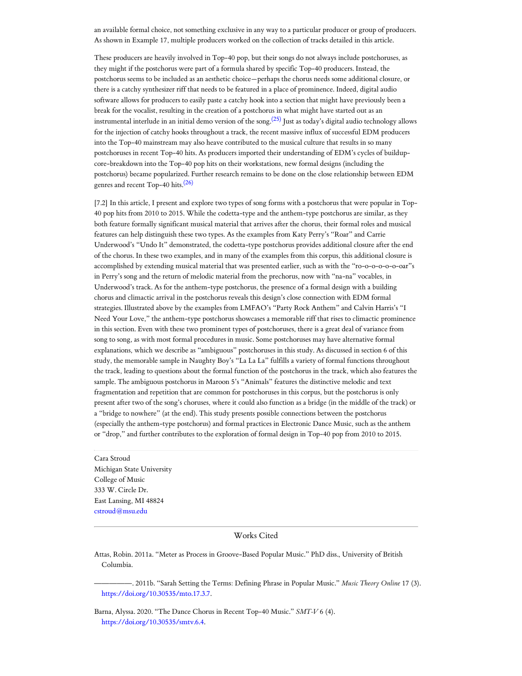an available formal choice, not something exclusive in any way to a particular producer or group of producers. As shown in Example 17, multiple producers worked on the collection of tracks detailed in this article.

<span id="page-9-4"></span>These producers are heavily involved in Top-40 pop, but their songs do not always include postchoruses, as they might if the postchorus were part of a formula shared by specific Top-40 producers. Instead, the postchorus seems to be included as an aesthetic choice—perhaps the chorus needs some additional closure, or there is a catchy synthesizer riff that needs to be featured in a place of prominence. Indeed, digital audio software allows for producers to easily paste a catchy hook into a section that might have previously been a break for the vocalist, resulting in the creation of a postchorus in what might have started out as an instrumental interlude in an initial demo version of the song.<sup>[\(25\)](#page-13-8)</sup> Just as today's digital audio technology allows for the injection of catchy hooks throughout a track, the recent massive influx of successful EDM producers into the Top-40 mainstream may also heave contributed to the musical culture that results in so many postchoruses in recent Top-40 hits. As producers imported their understanding of EDM's cycles of buildupcore-breakdown into the Top-40 pop hits on their workstations, new formal designs (including the postchorus) became popularized. Further research remains to be done on the close relationship between EDM genres and recent Top-40 hits. $(26)$ 

<span id="page-9-5"></span>[7.2] In this article, I present and explore two types of song forms with a postchorus that were popular in Top-40 pop hits from 2010 to 2015. While the codetta-type and the anthem-type postchorus are similar, as they both feature formally significant musical material that arrives after the chorus, their formal roles and musical features can help distinguish these two types. As the examples from Katy Perry's "Roar" and Carrie Underwood's "Undo It" demonstrated, the codetta-type postchorus provides additional closure after the end of the chorus. In these two examples, and in many of the examples from this corpus, this additional closure is accomplished by extending musical material that was presented earlier, such as with the "ro-o-o-o-o-o-oar"s in Perry's song and the return of melodic material from the prechorus, now with "na-na" vocables, in Underwood's track. As for the anthem-type postchorus, the presence of a formal design with a building chorus and climactic arrival in the postchorus reveals this design's close connection with EDM formal strategies. Illustrated above by the examples from LMFAO's "Party Rock Anthem" and Calvin Harris's "I Need Your Love," the anthem-type postchorus showcases a memorable riff that rises to climactic prominence in this section. Even with these two prominent types of postchoruses, there is a great deal of variance from song to song, as with most formal procedures in music. Some postchoruses may have alternative formal explanations, which we describe as "ambiguous" postchoruses in this study. As discussed in section 6 of this study, the memorable sample in Naughty Boy's "La La La" fulfills a variety of formal functions throughout the track, leading to questions about the formal function of the postchorus in the track, which also features the sample. The ambiguous postchorus in Maroon 5's "Animals" features the distinctive melodic and text fragmentation and repetition that are common for postchoruses in this corpus, but the postchorus is only present after two of the song's choruses, where it could also function as a bridge (in the middle of the track) or a "bridge to nowhere" (at the end). This study presents possible connections between the postchorus (especially the anthem-type postchorus) and formal practices in Electronic Dance Music, such as the anthem or "drop," and further contributes to the exploration of formal design in Top-40 pop from 2010 to 2015.

<span id="page-9-0"></span>Cara Stroud Michigan State University College of Music 333 W. Circle Dr. East Lansing, MI 48824 [cstroud@msu.edu](mailto:cstroud@msu.edu)

#### Works Cited

<span id="page-9-3"></span>Attas, Robin. 2011a. "Meter as Process in Groove-Based Popular Music." PhD diss., University of British Columbia.

<span id="page-9-2"></span>—————. 2011b. "Sarah Setting the Terms: Defining Phrase in Popular Music." *Music Theory Online* 17 (3). [https://doi.org/10.30535/mto.17.3.7.](https://doi.org/10.30535/mto.17.3.7)

<span id="page-9-1"></span>Barna, Alyssa. 2020. "The Dance Chorus in Recent Top-40 Music." *SMT-V* 6 (4). <https://doi.org/10.30535/smtv.6.4>.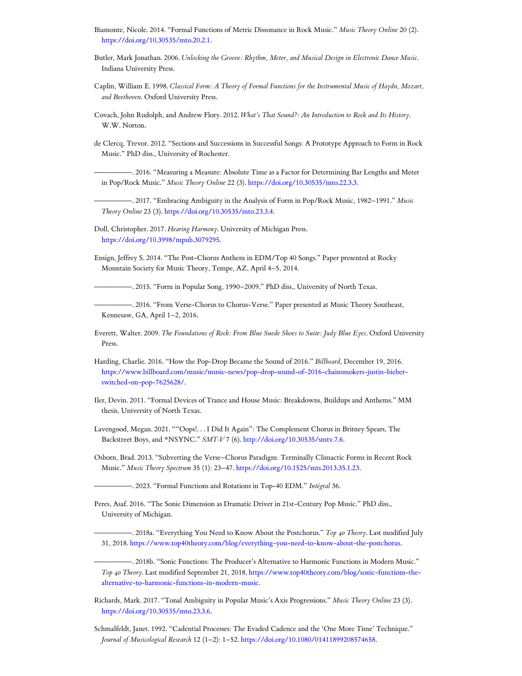- <span id="page-10-16"></span>Biamonte, Nicole. 2014. "Formal Functions of Metric Dissonance in Rock Music." *Music Theory Online* 20 (2). [https://doi.org/10.30535/mto.20.2.1.](https://doi.org/10.30535/mto.20.2.1)
- <span id="page-10-10"></span>Butler, Mark Jonathan. 2006. *Unlocking the Groove: Rhythm, Meter, and Musical Design in Electronic Dance Music*. Indiana University Press.
- <span id="page-10-0"></span>Caplin, William E. 1998. *Classical Form: A Theory of Formal Functions for the Instrumental Music of Haydn, Mozart, and Beethoven*. Oxford University Press.
- <span id="page-10-6"></span>Covach, John Rudolph, and Andrew Flory. 2012. *What's That Sound?: An Introduction to Rock and Its History*. W.W. Norton.
- <span id="page-10-1"></span>de Clercq, Trevor. 2012. "Sections and Successions in Successful Songs: A Prototype Approach to Form in Rock Music." PhD diss., University of Rochester.

<span id="page-10-15"></span>—————. 2016. "Measuring a Measure: Absolute Time as a Factor for Determining Bar Lengths and Meter in Pop/Rock Music." *Music Theory Online* 22 (3). <https://doi.org/10.30535/mto.22.3.3>.

<span id="page-10-9"></span>—————. 2017. "Embracing Ambiguity in the Analysis of Form in Pop/Rock Music, 1982–1991." *Music Theory Online* 23 (3). [https://doi.org/10.30535/mto.23.3.4.](https://doi.org/10.30535/mto.23.3.4)

<span id="page-10-7"></span>Doll, Christopher. 2017. *Hearing Harmony*. University of Michigan Press. [https://doi.org/10.3998/mpub.3079295.](https://doi.org/10.3998/mpub.3079295)

<span id="page-10-4"></span>Ensign, Jeffrey S. 2014. "The Post-Chorus Anthem in EDM/Top 40 Songs." Paper presented at Rocky Mountain Society for Music Theory, Tempe, AZ, April 4–5, 2014.

<span id="page-10-2"></span>-. 2015. "Form in Popular Song, 1990–2009." PhD diss., University of North Texas.

<span id="page-10-18"></span>-. 2016. "From Verse-Chorus to Chorus-Verse." Paper presented at Music Theory Southeast, Kennesaw, GA, April 1–2, 2016.

<span id="page-10-5"></span>Everett, Walter. 2009. *The Foundations of Rock: From Blue Suede Shoes to Suite: Judy Blue Eyes*. Oxford University Press.

- <span id="page-10-20"></span>Harding, Charlie. 2016. "How the Pop-Drop Became the Sound of 2016." *Billboard*, December 19, 2016. [https://www.billboard.com/music/music-news/pop-drop-sound-of-2016-chainsmokers-justin-bieber](https://www.billboard.com/music/music-news/pop-drop-sound-of-2016-chainsmokers-justin-bieber-switched-on-pop-7625628/)switched-on-pop-7625628/.
- <span id="page-10-11"></span>Iler, Devin. 2011. "Formal Devices of Trance and House Music: Breakdowns, Buildups and Anthems." MM thesis, University of North Texas.
- <span id="page-10-13"></span>Lavengood, Megan. 2021. ""Oops!. . . I Did It Again": The Complement Chorus in Britney Spears, The Backstreet Boys, and \*NSYNC." *SMT-V* 7 (6). <http://doi.org/10.30535/smtv.7.6>.
- <span id="page-10-17"></span>Osborn, Brad. 2013. "Subverting the Verse–Chorus Paradigm: Terminally Climactic Forms in Recent Rock Music." *Music Theory Spectrum* 35 (1): 23–47. <https://doi.org/10.1525/mts.2013.35.1.23>.
	- —————. 2023. "Formal Functions and Rotations in Top-40 EDM." *Intégral* 36.
- <span id="page-10-14"></span><span id="page-10-3"></span>Peres, Asaf. 2016. "The Sonic Dimension as Dramatic Driver in 21st-Century Pop Music." PhD diss., University of Michigan.

—————. 2018a. "Everything You Need to Know About the Postchorus." *Top 40 Theory*. Last modified July 31, 2018. <https://www.top40theory.com/blog/everything-you-need-to-know-about-the-postchorus>.

<span id="page-10-19"></span>—————. 2018b. "Sonic Functions: The Producer's Alternative to Harmonic Functions in Modern Music." *Top 40 Theory*. Last modified September 21, 2018. [https://www.top40theory.com/blog/sonic-functions-the](https://www.top40theory.com/blog/sonic-functions-the-alternative-to-harmonic-functions-in-modern-music)alternative-to-harmonic-functions-in-modern-music.

- <span id="page-10-12"></span>Richards, Mark. 2017. "Tonal Ambiguity in Popular Music's Axis Progressions." *Music Theory Online* 23 (3). [https://doi.org/10.30535/mto.23.3.6.](https://doi.org/10.30535/mto.23.3.6)
- <span id="page-10-8"></span>Schmalfeldt, Janet. 1992. "Cadential Processes: The Evaded Cadence and the 'One More Time' Technique." *Journal of Musicological Research* 12 (1–2): 1–52. <https://doi.org/10.1080/01411899208574658>.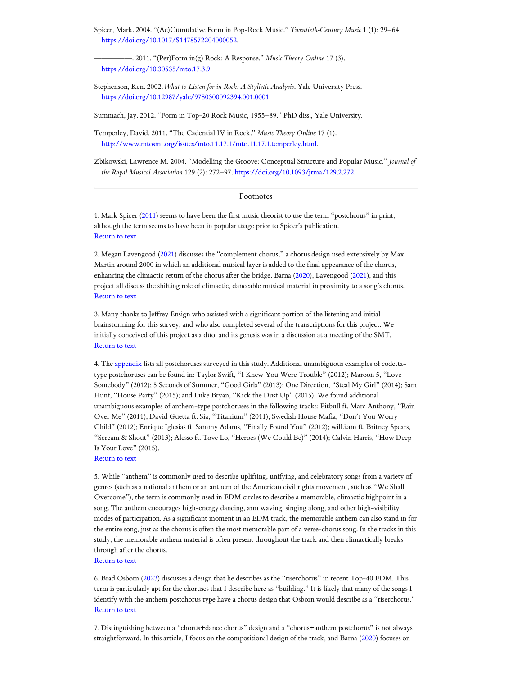<span id="page-11-11"></span>Spicer, Mark. 2004. "(Ac)Cumulative Form in Pop-Rock Music." *Twentieth-Century Music* 1 (1): 29–64. <https://doi.org/10.1017/S1478572204000052>.

<span id="page-11-1"></span>—————. 2011. "(Per)Form in(g) Rock: A Response." *Music Theory Online* 17 (3). [https://doi.org/10.30535/mto.17.3.9.](https://doi.org/10.30535/mto.17.3.9)

<span id="page-11-10"></span>Stephenson, Ken. 2002. *What to Listen for in Rock: A Stylistic Analysis*. Yale University Press. <https://doi.org/10.12987/yale/9780300092394.001.0001>.

<span id="page-11-2"></span>Summach, Jay. 2012. "Form in Top-20 Rock Music, 1955–89." PhD diss., Yale University.

<span id="page-11-9"></span>Temperley, David. 2011. "The Cadential IV in Rock." *Music Theory Online* 17 (1). [http://www.mtosmt.org/issues/mto.11.17.1/mto.11.17.1.temperley.html.](http://www.mtosmt.org/issues/mto.11.17.1/mto.11.17.1.temperley.html)

<span id="page-11-12"></span>Zbikowski, Lawrence M. 2004. "Modelling the Groove: Conceptual Structure and Popular Music." *Journal of the Royal Musical Association* 129 (2): 272–97. [https://doi.org/10.1093/jrma/129.2.272.](https://doi.org/10.1093/jrma/129.2.272)

#### Footnotes

<span id="page-11-0"></span>1. Mark Spicer ([2011](#page-11-1)) seems to have been the first music theorist to use the term "postchorus" in print, although the term seems to have been in popular usage prior to Spicer's publication. [Return](#page-0-0) to text

<span id="page-11-3"></span>2. Megan Lavengood [\(2021\)](#page-10-13) discusses the "complement chorus," a chorus design used extensively by Max Martin around 2000 in which an additional musical layer is added to the final appearance of the chorus, enhancing the climactic return of the chorus after the bridge. Barna [\(2020\)](#page-9-1), Lavengood [\(2021](#page-10-13)), and this project all discuss the shifting role of climactic, danceable musical material in proximity to a song's chorus. [Return](#page-1-0) to text

<span id="page-11-4"></span>3. Many thanks to Jeffrey Ensign who assisted with a significant portion of the listening and initial brainstorming for this survey, and who also completed several of the transcriptions for this project. We initially conceived of this project as a duo, and its genesis was in a discussion at a meeting of the SMT. [Return](#page-1-1) to text

<span id="page-11-5"></span>4. The [appendix](https://www.mtosmt.org/issues/mto.22.28.2/stroud_appendix.pdf) lists all postchoruses surveyed in this study. Additional unambiguous examples of codettatype postchoruses can be found in: Taylor Swift, "I Knew You Were Trouble" (2012); Maroon 5, "Love Somebody" (2012); 5 Seconds of Summer, "Good Girls" (2013); One Direction, "Steal My Girl" (2014); Sam Hunt, "House Party" (2015); and Luke Bryan, "Kick the Dust Up" (2015). We found additional unambiguous examples of anthem-type postchoruses in the following tracks: Pitbull ft. Marc Anthony, "Rain Over Me" (2011); David Guetta ft. Sia, "Titanium" (2011); Swedish House Mafia, "Don't You Worry Child" (2012); Enrique Iglesias ft. Sammy Adams, "Finally Found You" (2012); will.i.am ft. Britney Spears, "Scream & Shout" (2013); Alesso ft. Tove Lo, "Heroes (We Could Be)" (2014); Calvin Harris, "How Deep Is Your Love" (2015).

#### [Return](#page-1-2) to text

<span id="page-11-6"></span>5. While "anthem" is commonly used to describe uplifting, unifying, and celebratory songs from a variety of genres (such as a national anthem or an anthem of the American civil rights movement, such as "We Shall Overcome"), the term is commonly used in EDM circles to describe a memorable, climactic highpoint in a song. The anthem encourages high-energy dancing, arm waving, singing along, and other high-visibility modes of participation. As a significant moment in an EDM track, the memorable anthem can also stand in for the entire song, just as the chorus is often the most memorable part of a verse-chorus song. In the tracks in this study, the memorable anthem material is often present throughout the track and then climactically breaks through after the chorus.

#### [Return](#page-1-3) to text

<span id="page-11-7"></span>6. Brad Osborn ([2023](#page-10-14)) discusses a design that he describes as the "riserchorus" in recent Top-40 EDM. This term is particularly apt for the choruses that I describe here as "building." It is likely that many of the songs I identify with the anthem postchorus type have a chorus design that Osborn would describe as a "riserchorus." [Return](#page-1-4) to text

<span id="page-11-8"></span>7. Distinguishing between a "chorus+dance chorus" design and a "chorus+anthem postchorus" is not always straightforward. In this article, I focus on the compositional design of the track, and Barna ([2020](#page-9-1)) focuses on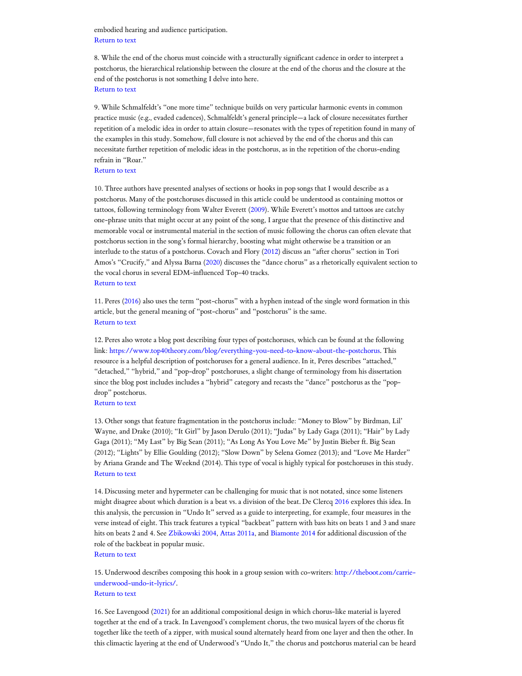embodied hearing and audience participation. [Return](#page-1-5) to text

<span id="page-12-0"></span>8. While the end of the chorus must coincide with a structurally significant cadence in order to interpret a postchorus, the hierarchical relationship between the closure at the end of the chorus and the closure at the end of the postchorus is not something I delve into here. [Return](#page-2-0) to text

<span id="page-12-1"></span>9. While Schmalfeldt's "one more time" technique builds on very particular harmonic events in common practice music (e.g., evaded cadences), Schmalfeldt's general principle—a lack of closure necessitates further repetition of a melodic idea in order to attain closure—resonates with the types of repetition found in many of the examples in this study. Somehow, full closure is not achieved by the end of the chorus and this can necessitate further repetition of melodic ideas in the postchorus, as in the repetition of the chorus-ending refrain in "Roar."

[Return](#page-2-1) to text

<span id="page-12-2"></span>10. Three authors have presented analyses of sections or hooks in pop songs that I would describe as a postchorus. Many of the postchoruses discussed in this article could be understood as containing mottos or tattoos, following terminology from Walter Everett [\(2009](#page-10-5)). While Everett's mottos and tattoos are catchy one-phrase units that might occur at any point of the song, I argue that the presence of this distinctive and memorable vocal or instrumental material in the section of music following the chorus can often elevate that postchorus section in the song's formal hierarchy, boosting what might otherwise be a transition or an interlude to the status of a postchorus. Covach and Flory ([2012\)](#page-10-6) discuss an "after chorus" section in Tori Amos's "Crucify," and Alyssa Barna ([2020](#page-9-1)) discusses the "dance chorus" as a rhetorically equivalent section to the vocal chorus in several EDM-influenced Top-40 tracks. [Return](#page-3-0) to text

<span id="page-12-3"></span>11. Peres ([2016\)](#page-10-3) also uses the term "post-chorus" with a hyphen instead of the single word formation in this article, but the general meaning of "post-chorus" and "postchorus" is the same. [Return](#page-3-1) to text

<span id="page-12-4"></span>12. Peres also wrote a blog post describing four types of postchoruses, which can be found at the following link: <https://www.top40theory.com/blog/everything-you-need-to-know-about-the-postchorus>. This resource is a helpful description of postchoruses for a general audience. In it, Peres describes "attached," "detached," "hybrid," and "pop-drop" postchoruses, a slight change of terminology from his dissertation since the blog post includes includes a "hybrid" category and recasts the "dance" postchorus as the "popdrop" postchorus.

## [Return](#page-3-2) to text

<span id="page-12-5"></span>13. Other songs that feature fragmentation in the postchorus include: "Money to Blow" by Birdman, Lil' Wayne, and Drake (2010); "It Girl" by Jason Derulo (2011); "Judas" by Lady Gaga (2011); "Hair" by Lady Gaga (2011); "My Last" by Big Sean (2011); "As Long As You Love Me" by Justin Bieber ft. Big Sean (2012); "Lights" by Ellie Goulding (2012); "Slow Down" by Selena Gomez (2013); and "Love Me Harder" by Ariana Grande and The Weeknd (2014). This type of vocal is highly typical for postchoruses in this study. [Return](#page-4-0) to text

<span id="page-12-6"></span>14. Discussing meter and hypermeter can be challenging for music that is not notated, since some listeners might disagree about which duration is a beat vs. a division of the beat. De Clercq [2016](#page-10-15) explores this idea. In this analysis, the percussion in "Undo It" served as a guide to interpreting, for example, four measures in the verse instead of eight. This track features a typical "backbeat" pattern with bass hits on beats 1 and 3 and snare hits on beats 2 and 4. See [Zbikowski](#page-11-12) 2004, Attas [2011a](#page-9-3), and [Biamonte](#page-10-16) 2014 for additional discussion of the role of the backbeat in popular music.

#### [Return](#page-4-1) to text

<span id="page-12-7"></span>15. Underwood describes composing this hook in a group session with co-writers: http://theboot.com/carrie[underwood-undo-it-lyrics/.](http://theboot.com/carrie-underwood-undo-it-lyrics/) [Return](#page-4-2) to text

<span id="page-12-8"></span>16. See Lavengood [\(2021\)](#page-10-13) for an additional compositional design in which chorus-like material is layered together at the end of a track. In Lavengood's complement chorus, the two musical layers of the chorus fit together like the teeth of a zipper, with musical sound alternately heard from one layer and then the other. In this climactic layering at the end of Underwood's "Undo It," the chorus and postchorus material can be heard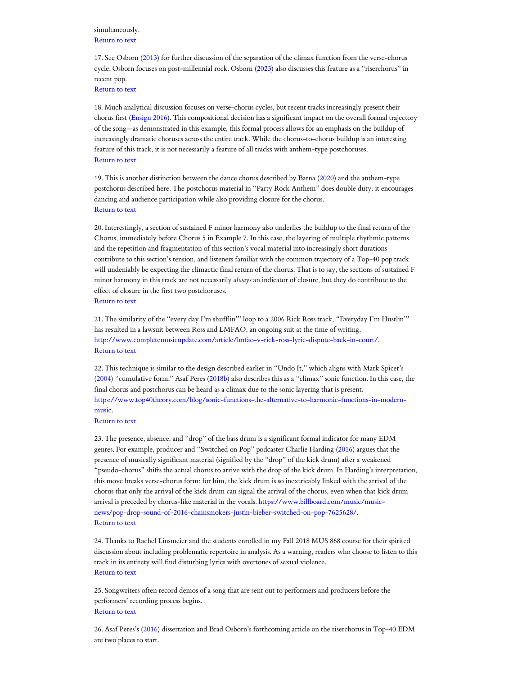simultaneously. [Return](#page-5-0) to text

<span id="page-13-0"></span>17. See Osborn ([2013\)](#page-10-17) for further discussion of the separation of the climax function from the verse-chorus cycle. Osborn focuses on post-millennial rock. Osborn ([2023\)](#page-10-14) also discusses this feature as a "riserchorus" in recent pop.

[Return](#page-5-1) to text

<span id="page-13-1"></span>18. Much analytical discussion focuses on verse-chorus cycles, but recent tracks increasingly present their chorus first [\(Ensign](#page-10-18) 2016). This compositional decision has a significant impact on the overall formal trajectory of the song—as demonstrated in this example, this formal process allows for an emphasis on the buildup of increasingly dramatic choruses across the entire track. While the chorus-to-chorus buildup is an interesting feature of this track, it is not necessarily a feature of all tracks with anthem-type postchoruses. [Return](#page-6-0) to text

<span id="page-13-2"></span>19. This is another distinction between the dance chorus described by Barna ([2020](#page-9-1)) and the anthem-type postchorus described here. The postchorus material in "Party Rock Anthem" does double duty: it encourages dancing and audience participation while also providing closure for the chorus. [Return](#page-6-1) to text

<span id="page-13-3"></span>20. Interestingly, a section of sustained F minor harmony also underlies the buildup to the final return of the Chorus, immediately before Chorus 5 in Example 7. In this case, the layering of multiple rhythmic patterns and the repetition and fragmentation of this section's vocal material into increasingly short durations contribute to this section's tension, and listeners familiar with the common trajectory of a Top-40 pop track will undeniably be expecting the climactic final return of the chorus. That is to say, the sections of sustained F minor harmony in this track are not necessarily *always* an indicator of closure, but they do contribute to the effect of closure in the first two postchoruses.

[Return](#page-6-2) to text

<span id="page-13-4"></span>21. The similarity of the "every day I'm shufflin'" loop to a 2006 Rick Ross track, "Everyday I'm Hustlin'" has resulted in a lawsuit between Ross and LMFAO, an ongoing suit at the time of writing. <http://www.completemusicupdate.com/article/lmfao-v-rick-ross-lyric-dispute-back-in-court/>. [Return](#page-6-3) to text

<span id="page-13-5"></span>22. This technique is similar to the design described earlier in "Undo It," which aligns with Mark Spicer's [\(2004\)](#page-11-11) "cumulative form." Asaf Peres ([2018b\)](#page-10-19) also describes this as a "climax" sonic function. In this case, the final chorus and postchorus can be heard as a climax due to the sonic layering that is present. [https://www.top40theory.com/blog/sonic-functions-the-alternative-to-harmonic-functions-in-modern](https://www.top40theory.com/blog/sonic-functions-the-alternative-to-harmonic-functions-in-modern-music)music.

[Return](#page-6-4) to text

<span id="page-13-6"></span>23. The presence, absence, and "drop" of the bass drum is a significant formal indicator for many EDM genres. For example, producer and "Switched on Pop" podcaster Charlie Harding [\(2016](#page-10-20)) argues that the presence of musically significant material (signified by the "drop" of the kick drum) after a weakened "pseudo-chorus" shifts the actual chorus to arrive with the drop of the kick drum. In Harding's interpretation, this move breaks verse-chorus form: for him, the kick drum is so inextricably linked with the arrival of the chorus that only the arrival of the kick drum can signal the arrival of the chorus, even when that kick drum arrival is preceded by chorus-like material in the vocals. https://www.billboard.com/music/music[news/pop-drop-sound-of-2016-chainsmokers-justin-bieber-switched-on-pop-7625628/.](https://www.billboard.com/music/music-news/pop-drop-sound-of-2016-chainsmokers-justin-bieber-switched-on-pop-7625628/) [Return](#page-7-0) to text

<span id="page-13-7"></span>24. Thanks to Rachel Linsmeier and the students enrolled in my Fall 2018 MUS 868 course for their spirited discussion about including problematic repertoire in analysis. As a warning, readers who choose to listen to this track in its entirety will find disturbing lyrics with overtones of sexual violence. [Return](#page-8-0) to text

<span id="page-13-8"></span>25. Songwriters often record demos of a song that are sent out to performers and producers before the performers' recording process begins. [Return](#page-9-4) to text

<span id="page-13-9"></span>26. Asaf Peres's ([2016](#page-10-3)) dissertation and Brad Osborn's forthcoming article on the riserchorus in Top-40 EDM are two places to start.